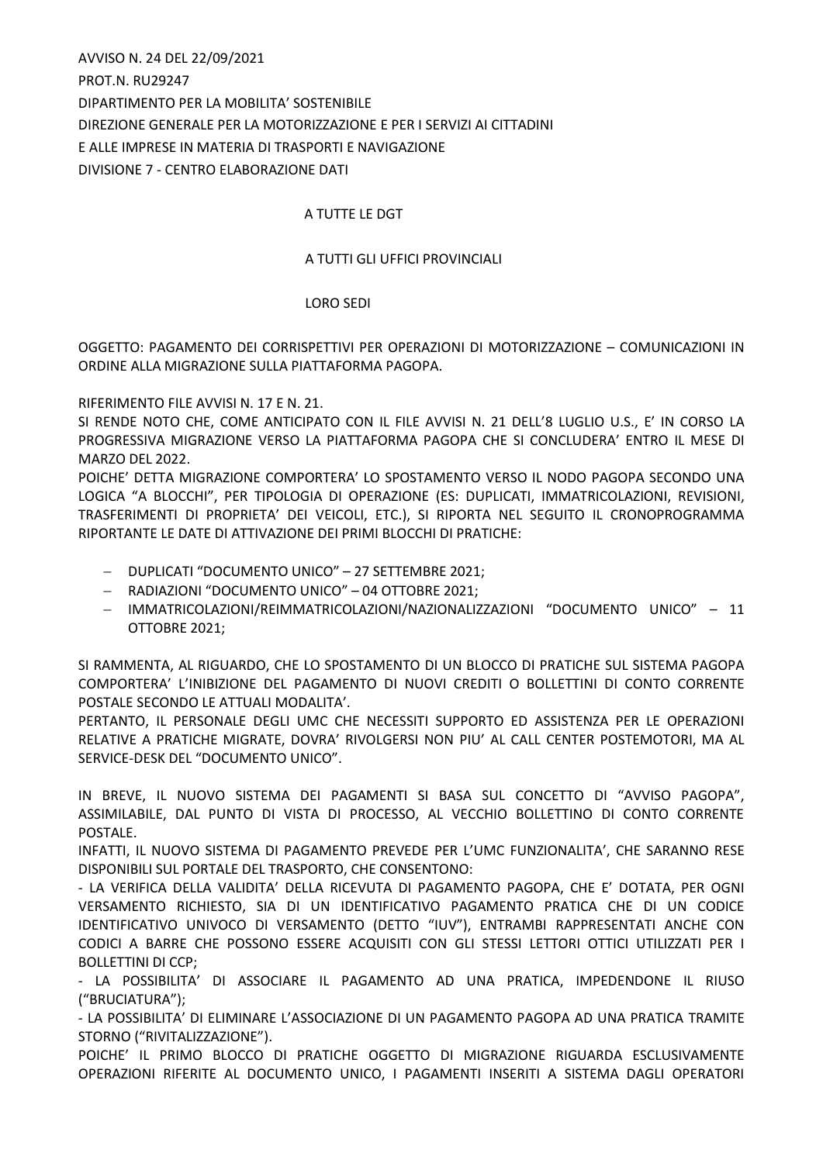AVVISO N. 24 DEL 22/09/2021 PROT.N. RU29247 DIPARTIMENTO PER LA MOBILITA' SOSTENIBILE DIREZIONE GENERALE PER LA MOTORIZZAZIONE E PER I SERVIZI AI CITTADINI E ALLE IMPRESE IN MATERIA DI TRASPORTI E NAVIGAZIONE DIVISIONE 7 - CENTRO ELABORAZIONE DATI

## A TUTTE LE DGT

## A TUTTI GLI UFFICI PROVINCIALI

## LORO SEDI

OGGETTO: PAGAMENTO DEI CORRISPETTIVI PER OPERAZIONI DI MOTORIZZAZIONE – COMUNICAZIONI IN ORDINE ALLA MIGRAZIONE SULLA PIATTAFORMA PAGOPA.

RIFERIMENTO FILE AVVISI N. 17 E N. 21.

SI RENDE NOTO CHE, COME ANTICIPATO CON IL FILE AVVISI N. 21 DELL'8 LUGLIO U.S., E' IN CORSO LA PROGRESSIVA MIGRAZIONE VERSO LA PIATTAFORMA PAGOPA CHE SI CONCLUDERA' ENTRO IL MESE DI MARZO DEL 2022.

POICHE' DETTA MIGRAZIONE COMPORTERA' LO SPOSTAMENTO VERSO IL NODO PAGOPA SECONDO UNA LOGICA "A BLOCCHI", PER TIPOLOGIA DI OPERAZIONE (ES: DUPLICATI, IMMATRICOLAZIONI, REVISIONI, TRASFERIMENTI DI PROPRIETA' DEI VEICOLI, ETC.), SI RIPORTA NEL SEGUITO IL CRONOPROGRAMMA RIPORTANTE LE DATE DI ATTIVAZIONE DEI PRIMI BLOCCHI DI PRATICHE:

- DUPLICATI "DOCUMENTO UNICO" 27 SETTEMBRE 2021;
- RADIAZIONI "DOCUMENTO UNICO" 04 OTTOBRE 2021;
- IMMATRICOLAZIONI/REIMMATRICOLAZIONI/NAZIONALIZZAZIONI "DOCUMENTO UNICO" 11 OTTOBRE 2021;

SI RAMMENTA, AL RIGUARDO, CHE LO SPOSTAMENTO DI UN BLOCCO DI PRATICHE SUL SISTEMA PAGOPA COMPORTERA' L'INIBIZIONE DEL PAGAMENTO DI NUOVI CREDITI O BOLLETTINI DI CONTO CORRENTE POSTALE SECONDO LE ATTUALI MODALITA'.

PERTANTO, IL PERSONALE DEGLI UMC CHE NECESSITI SUPPORTO ED ASSISTENZA PER LE OPERAZIONI RELATIVE A PRATICHE MIGRATE, DOVRA' RIVOLGERSI NON PIU' AL CALL CENTER POSTEMOTORI, MA AL SERVICE-DESK DEL "DOCUMENTO UNICO".

IN BREVE, IL NUOVO SISTEMA DEI PAGAMENTI SI BASA SUL CONCETTO DI "AVVISO PAGOPA", ASSIMILABILE, DAL PUNTO DI VISTA DI PROCESSO, AL VECCHIO BOLLETTINO DI CONTO CORRENTE POSTALE.

INFATTI, IL NUOVO SISTEMA DI PAGAMENTO PREVEDE PER L'UMC FUNZIONALITA', CHE SARANNO RESE DISPONIBILI SUL PORTALE DEL TRASPORTO, CHE CONSENTONO:

- LA VERIFICA DELLA VALIDITA' DELLA RICEVUTA DI PAGAMENTO PAGOPA, CHE E' DOTATA, PER OGNI VERSAMENTO RICHIESTO, SIA DI UN IDENTIFICATIVO PAGAMENTO PRATICA CHE DI UN CODICE IDENTIFICATIVO UNIVOCO DI VERSAMENTO (DETTO "IUV"), ENTRAMBI RAPPRESENTATI ANCHE CON CODICI A BARRE CHE POSSONO ESSERE ACQUISITI CON GLI STESSI LETTORI OTTICI UTILIZZATI PER I BOLLETTINI DI CCP;

- LA POSSIBILITA' DI ASSOCIARE IL PAGAMENTO AD UNA PRATICA, IMPEDENDONE IL RIUSO ("BRUCIATURA");

- LA POSSIBILITA' DI ELIMINARE L'ASSOCIAZIONE DI UN PAGAMENTO PAGOPA AD UNA PRATICA TRAMITE STORNO ("RIVITALIZZAZIONE").

POICHE' IL PRIMO BLOCCO DI PRATICHE OGGETTO DI MIGRAZIONE RIGUARDA ESCLUSIVAMENTE OPERAZIONI RIFERITE AL DOCUMENTO UNICO, I PAGAMENTI INSERITI A SISTEMA DAGLI OPERATORI